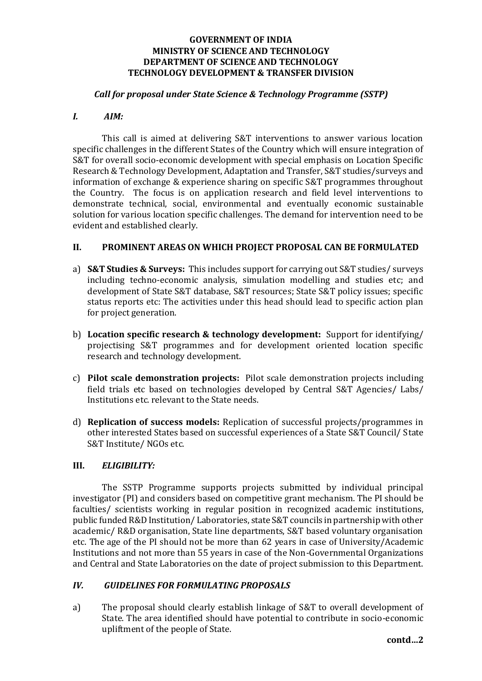# **GOVERNMENT OF INDIA MINISTRY OF SCIENCE AND TECHNOLOGY DEPARTMENT OF SCIENCE AND TECHNOLOGY TECHNOLOGY DEVELOPMENT & TRANSFER DIVISION**

# *Call for proposal under State Science & Technology Programme (SSTP)*

## *I. AIM:*

This call is aimed at delivering S&T interventions to answer various location specific challenges in the different States of the Country which will ensure integration of S&T for overall socio-economic development with special emphasis on Location Specific Research & Technology Development, Adaptation and Transfer, S&T studies/surveys and information of exchange & experience sharing on specific S&T programmes throughout the Country. The focus is on application research and field level interventions to demonstrate technical, social, environmental and eventually economic sustainable solution for various location specific challenges. The demand for intervention need to be evident and established clearly.

## **II. PROMINENT AREAS ON WHICH PROJECT PROPOSAL CAN BE FORMULATED**

- a) **S&T Studies & Surveys:** This includes support for carrying out S&T studies/ surveys including techno-economic analysis, simulation modelling and studies etc; and development of State S&T database, S&T resources; State S&T policy issues; specific status reports etc: The activities under this head should lead to specific action plan for project generation.
- b) **Location specific research & technology development:** Support for identifying/ projectising S&T programmes and for development oriented location specific research and technology development.
- c) **Pilot scale demonstration projects:** Pilot scale demonstration projects including field trials etc based on technologies developed by Central S&T Agencies/ Labs/ Institutions etc. relevant to the State needs.
- d) **Replication of success models:** Replication of successful projects/programmes in other interested States based on successful experiences of a State S&T Council/ State S&T Institute/ NGOs etc.

## **III.** *ELIGIBILITY:*

The SSTP Programme supports projects submitted by individual principal investigator (PI) and considers based on competitive grant mechanism. The PI should be faculties/ scientists working in regular position in recognized academic institutions, public funded R&D Institution/ Laboratories, state S&T councils in partnership with other academic/ R&D organisation, State line departments, S&T based voluntary organisation etc. The age of the PI should not be more than 62 years in case of University/Academic Institutions and not more than 55 years in case of the Non-Governmental Organizations and Central and State Laboratories on the date of project submission to this Department.

## *IV. GUIDELINES FOR FORMULATING PROPOSALS*

a) The proposal should clearly establish linkage of S&T to overall development of State. The area identified should have potential to contribute in socio-economic upliftment of the people of State.